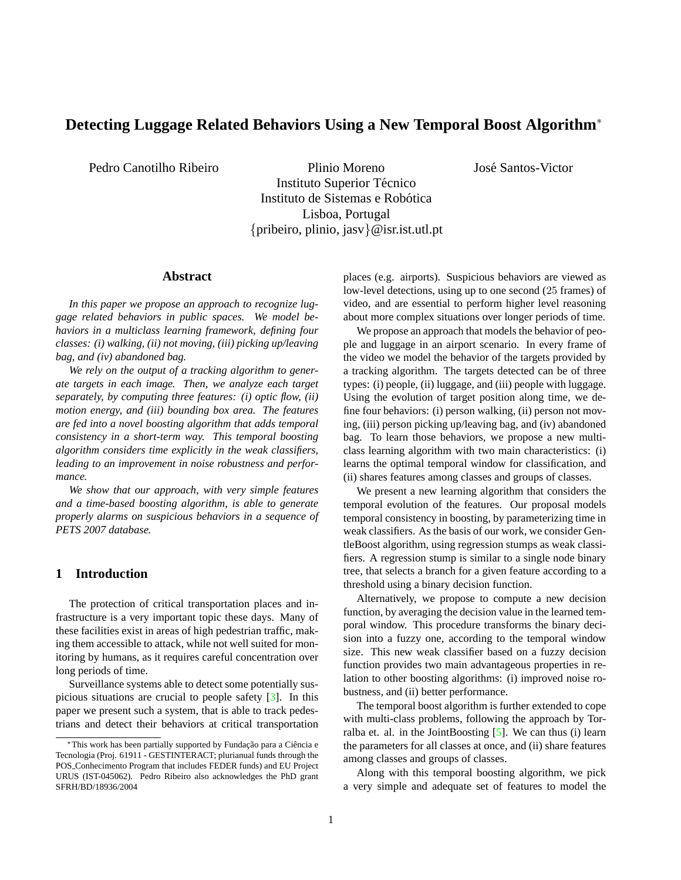# <span id="page-0-0"></span>**Detecting Luggage Related Behaviors Using a New Temporal Boost Algorithm**<sup>∗</sup>

Pedro Canotilho Ribeiro Plinio Moreno Instituto Superior Técnico Instituto de Sistemas e Robótica Lisboa, Portugal {pribeiro, plinio, jasv}@isr.ist.utl.pt

## **Abstract**

*In this paper we propose an approach to recognize luggage related behaviors in public spaces. We model behaviors in a multiclass learning framework, defining four classes: (i) walking, (ii) not moving, (iii) picking up/leaving bag, and (iv) abandoned bag.*

*We rely on the output of a tracking algorithm to generate targets in each image. Then, we analyze each target separately, by computing three features: (i) optic flow, (ii) motion energy, and (iii) bounding box area. The features are fed into a novel boosting algorithm that adds temporal consistency in a short-term way. This temporal boosting algorithm considers time explicitly in the weak classifiers, leading to an improvement in noise robustness and performance.*

*We show that our approach, with very simple features and a time-based boosting algorithm, is able to generate properly alarms on suspicious behaviors in a sequence of PETS 2007 database.*

# **1 Introduction**

The protection of critical transportation places and infrastructure is a very important topic these days. Many of these facilities exist in areas of high pedestrian traffic, making them accessible to attack, while not well suited for monitoring by humans, as it requires careful concentration over long periods of time.

Surveillance systems able to detect some potentially suspicious situations are crucial to people safety [\[3\]](#page-5-0). In this paper we present such a system, that is able to track pedestrians and detect their behaviors at critical transportation places (e.g. airports). Suspicious behaviors are viewed as low-level detections, using up to one second (25 frames) of video, and are essential to perform higher level reasoning about more complex situations over longer periods of time.

Jose Santos-Victor ´

We propose an approach that models the behavior of people and luggage in an airport scenario. In every frame of the video we model the behavior of the targets provided by a tracking algorithm. The targets detected can be of three types: (i) people, (ii) luggage, and (iii) people with luggage. Using the evolution of target position along time, we define four behaviors: (i) person walking, (ii) person not moving, (iii) person picking up/leaving bag, and (iv) abandoned bag. To learn those behaviors, we propose a new multiclass learning algorithm with two main characteristics: (i) learns the optimal temporal window for classification, and (ii) shares features among classes and groups of classes.

We present a new learning algorithm that considers the temporal evolution of the features. Our proposal models temporal consistency in boosting, by parameterizing time in weak classifiers. As the basis of our work, we consider GentleBoost algorithm, using regression stumps as weak classifiers. A regression stump is similar to a single node binary tree, that selects a branch for a given feature according to a threshold using a binary decision function.

Alternatively, we propose to compute a new decision function, by averaging the decision value in the learned temporal window. This procedure transforms the binary decision into a fuzzy one, according to the temporal window size. This new weak classifier based on a fuzzy decision function provides two main advantageous properties in relation to other boosting algorithms: (i) improved noise robustness, and (ii) better performance.

The temporal boost algorithm is further extended to cope with multi-class problems, following the approach by Torralba et. al. in the JointBoosting  $[5]$ . We can thus (i) learn the parameters for all classes at once, and (ii) share features among classes and groups of classes.

Along with this temporal boosting algorithm, we pick a very simple and adequate set of features to model the

<sup>\*</sup>This work has been partially supported by Fundação para a Ciência e Tecnologia (Proj. 61911 - GESTINTERACT; plurianual funds through the POS Conhecimento Program that includes FEDER funds) and EU Project URUS (IST-045062). Pedro Ribeiro also acknowledges the PhD grant SFRH/BD/18936/2004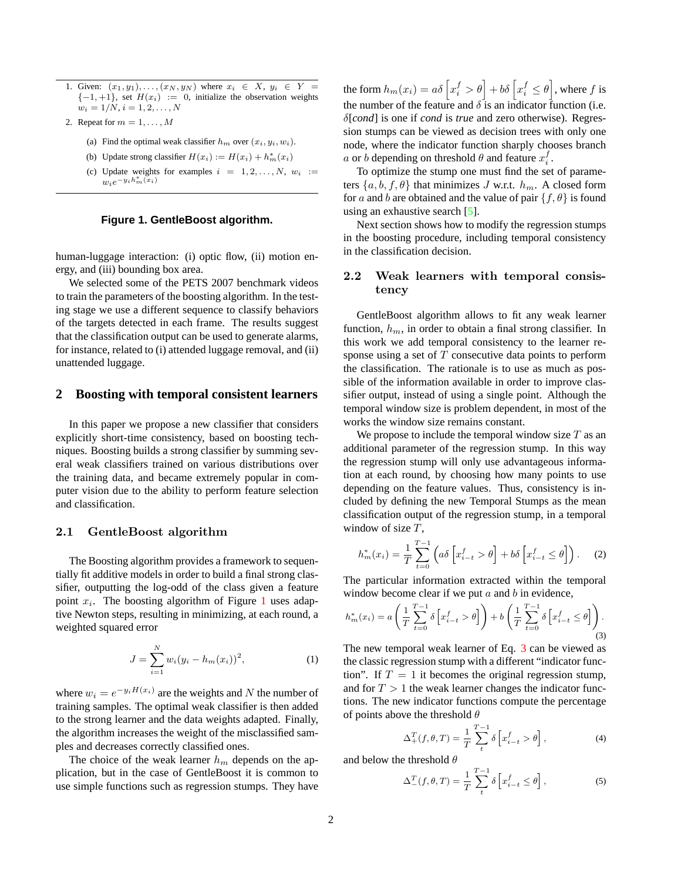- <span id="page-1-5"></span>1. Given:  $(x_1, y_1), \ldots, (x_N, y_N)$  where  $x_i \in X$ ,  $y_i \in Y =$  ${-1, +1}$ , set  $H(x_i) := 0$ , initialize the observation weights  $w_i = 1/N, i = 1, 2, \ldots, N$
- 2. Repeat for  $m = 1, \ldots, M$ 
	- (a) Find the optimal weak classifier  $h_m$  over  $(x_i, y_i, w_i)$ .
	- (b) Update strong classifier  $H(x_i) := H(x_i) + h_m^*(x_i)$
	- (c) Update weights for examples  $i = 1, 2, \ldots, N$ ,  $w_i :=$  $w_i e^{-y_i h_m^*(x_i)}$

# <span id="page-1-0"></span>**Figure 1. GentleBoost algorithm.**

human-luggage interaction: (i) optic flow, (ii) motion energy, and (iii) bounding box area.

We selected some of the PETS 2007 benchmark videos to train the parameters of the boosting algorithm. In the testing stage we use a different sequence to classify behaviors of the targets detected in each frame. The results suggest that the classification output can be used to generate alarms, for instance, related to (i) attended luggage removal, and (ii) unattended luggage.

# **2 Boosting with temporal consistent learners**

In this paper we propose a new classifier that considers explicitly short-time consistency, based on boosting techniques. Boosting builds a strong classifier by summing several weak classifiers trained on various distributions over the training data, and became extremely popular in computer vision due to the ability to perform feature selection and classification.

### 2.1 GentleBoost algorithm

The Boosting algorithm provides a framework to sequentially fit additive models in order to build a final strong classifier, outputting the log-odd of the class given a feature point  $x_i$ . The boosting algorithm of Figure [1](#page-1-0) uses adaptive Newton steps, resulting in minimizing, at each round, a weighted squared error

<span id="page-1-4"></span>
$$
J = \sum_{i=1}^{N} w_i (y_i - h_m(x_i))^2, \tag{1}
$$

where  $w_i = e^{-y_i H(x_i)}$  are the weights and N the number of training samples. The optimal weak classifier is then added to the strong learner and the data weights adapted. Finally, the algorithm increases the weight of the misclassified samples and decreases correctly classified ones.

The choice of the weak learner  $h_m$  depends on the application, but in the case of GentleBoost it is common to use simple functions such as regression stumps. They have

the form  $h_m(x_i) = a\delta\left[x_i^f > \theta\right] + b\delta\left[x_i^f \leq \theta\right]$ , where  $f$  is the number of the feature and  $\delta$  is an indicator function (i.e. δ[*cond*] is one if *cond* is *true* and zero otherwise). Regression stumps can be viewed as decision trees with only one node, where the indicator function sharply chooses branch a or b depending on threshold  $\theta$  and feature  $x_i^f$ .

To optimize the stump one must find the set of parameters  $\{a, b, f, \theta\}$  that minimizes J w.r.t.  $h_m$ . A closed form for a and b are obtained and the value of pair  $\{f, \theta\}$  is found using an exhaustive search [\[5\]](#page-5-1).

Next section shows how to modify the regression stumps in the boosting procedure, including temporal consistency in the classification decision.

# 2.2 Weak learners with temporal consistency

GentleBoost algorithm allows to fit any weak learner function,  $h_m$ , in order to obtain a final strong classifier. In this work we add temporal consistency to the learner response using a set of  $T$  consecutive data points to perform the classification. The rationale is to use as much as possible of the information available in order to improve classifier output, instead of using a single point. Although the temporal window size is problem dependent, in most of the works the window size remains constant.

We propose to include the temporal window size  $T$  as an additional parameter of the regression stump. In this way the regression stump will only use advantageous information at each round, by choosing how many points to use depending on the feature values. Thus, consistency is included by defining the new Temporal Stumps as the mean classification output of the regression stump, in a temporal window of size  $T$ .

$$
h_m^*(x_i) = \frac{1}{T} \sum_{t=0}^{T-1} \left( a\delta \left[ x_{i-t}^f > \theta \right] + b\delta \left[ x_{i-t}^f \le \theta \right] \right). \tag{2}
$$

The particular information extracted within the temporal window become clear if we put  $a$  and  $b$  in evidence,

<span id="page-1-1"></span>
$$
h_m^*(x_i) = a\left(\frac{1}{T}\sum_{t=0}^{T-1} \delta\left[x_{i-t}^f > \theta\right]\right) + b\left(\frac{1}{T}\sum_{t=0}^{T-1} \delta\left[x_{i-t}^f \le \theta\right]\right).
$$
\n(3)

The new temporal weak learner of Eq. [3](#page-1-1) can be viewed as the classic regression stump with a different "indicator function". If  $T = 1$  it becomes the original regression stump, and for  $T > 1$  the weak learner changes the indicator functions. The new indicator functions compute the percentage of points above the threshold  $\theta$ 

<span id="page-1-2"></span>
$$
\Delta^T_+(f,\theta,T) = \frac{1}{T} \sum_{t}^{T-1} \delta \left[ x_{i-t}^f > \theta \right],\tag{4}
$$

and below the threshold  $\theta$ 

<span id="page-1-3"></span>
$$
\Delta_{-}^{T}(f,\theta,T) = \frac{1}{T} \sum_{t}^{T-1} \delta \left[ x_{i-t}^{f} \le \theta \right],
$$
\n(5)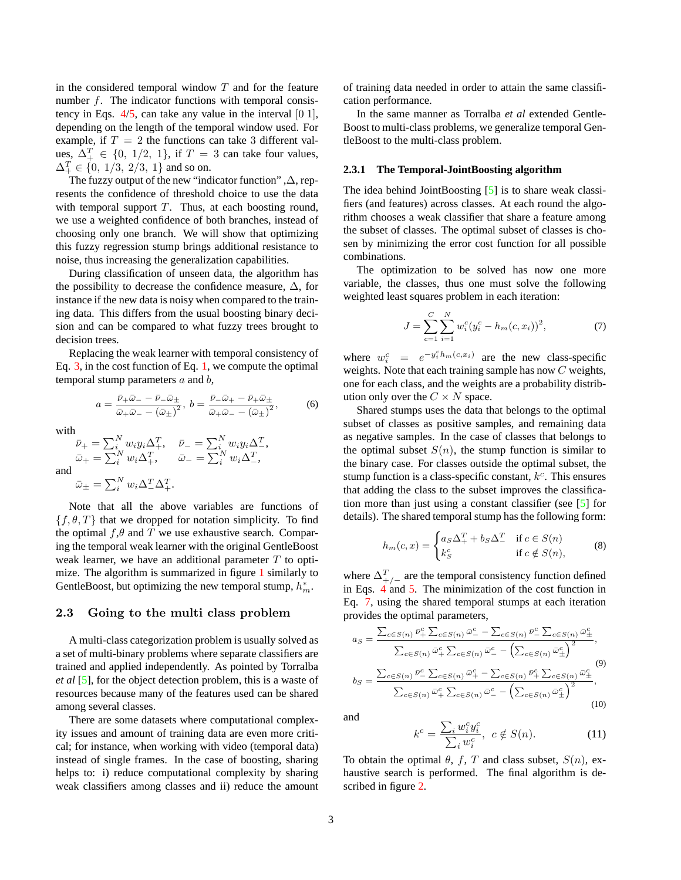<span id="page-2-3"></span>in the considered temporal window  $T$  and for the feature number f. The indicator functions with temporal consistency in Eqs.  $4/5$  $4/5$ , can take any value in the interval [0 1], depending on the length of the temporal window used. For example, if  $T = 2$  the functions can take 3 different values,  $\Delta_+^T \in \{0, 1/2, 1\}$ , if  $T = 3$  can take four values,  $\Delta_+^T \in \{0, 1/3, 2/3, 1\}$  and so on.

The fuzzy output of the new "indicator function" ,∆, represents the confidence of threshold choice to use the data with temporal support  $T$ . Thus, at each boosting round, we use a weighted confidence of both branches, instead of choosing only one branch. We will show that optimizing this fuzzy regression stump brings additional resistance to noise, thus increasing the generalization capabilities.

During classification of unseen data, the algorithm has the possibility to decrease the confidence measure,  $\Delta$ , for instance if the new data is noisy when compared to the training data. This differs from the usual boosting binary decision and can be compared to what fuzzy trees brought to decision trees.

Replacing the weak learner with temporal consistency of Eq. [3,](#page-1-1) in the cost function of Eq. [1,](#page-1-4) we compute the optimal temporal stump parameters  $a$  and  $b$ ,

$$
a = \frac{\bar{\nu}_{+}\bar{\omega}_{-} - \bar{\nu}_{-}\bar{\omega}_{+}}{\bar{\omega}_{+}\bar{\omega}_{-} - (\bar{\omega}_{+})^{2}}, \ b = \frac{\bar{\nu}_{-}\bar{\omega}_{+} - \bar{\nu}_{+}\bar{\omega}_{+}}{\bar{\omega}_{+}\bar{\omega}_{-} - (\bar{\omega}_{+})^{2}}, \tag{6}
$$

with

and

$$
\begin{array}{ll}\n\bar{\nu}_{+} = \sum_{i}^{N} w_{i} y_{i} \Delta_{+}^{T}, & \bar{\nu}_{-} = \sum_{i}^{N} w_{i} y_{i} \Delta_{-}^{T}, \\
\bar{\omega}_{+} = \sum_{i}^{N} w_{i} \Delta_{+}^{T}, & \bar{\omega}_{-} = \sum_{i}^{N} w_{i} \Delta_{-}^{T}, \\
\bar{\omega}_{\pm} = \sum_{i}^{N} w_{i} \Delta_{-}^{T} \Delta_{+}^{T}.\n\end{array}
$$

Note that all the above variables are functions of  $\{f, \theta, T\}$  that we dropped for notation simplicity. To find the optimal  $f, \theta$  and T we use exhaustive search. Comparing the temporal weak learner with the original GentleBoost weak learner, we have an additional parameter  $T$  to optimize. The algorithm is summarized in figure [1](#page-1-0) similarly to GentleBoost, but optimizing the new temporal stump,  $h_m^*$ .

#### 2.3 Going to the multi class problem

A multi-class categorization problem is usually solved as a set of multi-binary problems where separate classifiers are trained and applied independently. As pointed by Torralba *et al* [\[5\]](#page-5-1), for the object detection problem, this is a waste of resources because many of the features used can be shared among several classes.

There are some datasets where computational complexity issues and amount of training data are even more critical; for instance, when working with video (temporal data) instead of single frames. In the case of boosting, sharing helps to: i) reduce computational complexity by sharing weak classifiers among classes and ii) reduce the amount

of training data needed in order to attain the same classification performance.

In the same manner as Torralba *et al* extended Gentle-Boost to multi-class problems, we generalize temporal GentleBoost to the multi-class problem.

#### **2.3.1 The Temporal-JointBoosting algorithm**

The idea behind JointBoosting [\[5\]](#page-5-1) is to share weak classifiers (and features) across classes. At each round the algorithm chooses a weak classifier that share a feature among the subset of classes. The optimal subset of classes is chosen by minimizing the error cost function for all possible combinations.

The optimization to be solved has now one more variable, the classes, thus one must solve the following weighted least squares problem in each iteration:

<span id="page-2-0"></span>
$$
J = \sum_{c=1}^{C} \sum_{i=1}^{N} w_i^c (y_i^c - h_m(c, x_i))^2, \tag{7}
$$

where  $w_i^c = e^{-y_i^ch_m(c,x_i)}$  are the new class-specific weights. Note that each training sample has now C weights, one for each class, and the weights are a probability distribution only over the  $C \times N$  space.

Shared stumps uses the data that belongs to the optimal subset of classes as positive samples, and remaining data as negative samples. In the case of classes that belongs to the optimal subset  $S(n)$ , the stump function is similar to the binary case. For classes outside the optimal subset, the stump function is a class-specific constant,  $k<sup>c</sup>$ . This ensures that adding the class to the subset improves the classification more than just using a constant classifier (see [\[5\]](#page-5-1) for details). The shared temporal stump has the following form:

$$
h_m(c,x) = \begin{cases} a_S \Delta_+^T + b_S \Delta_-^T & \text{if } c \in S(n) \\ k_S^c & \text{if } c \notin S(n), \end{cases}
$$
 (8)

where  $\Delta_{+/-}^T$  are the temporal consistency function defined in Eqs.  $4$  and [5.](#page-1-3) The minimization of the cost function in Eq. [7,](#page-2-0) using the shared temporal stumps at each iteration provides the optimal parameters,

<span id="page-2-2"></span><span id="page-2-1"></span>
$$
a_{S} = \frac{\sum_{c \in S(n)} \bar{\nu}_{+}^{c} \sum_{c \in S(n)} \bar{\omega}_{-}^{c} - \sum_{c \in S(n)} \bar{\nu}_{-}^{c} \sum_{c \in S(n)} \bar{\omega}_{+}^{c}}{\sum_{c \in S(n)} \bar{\omega}_{+}^{c} \sum_{c \in S(n)} \bar{\omega}_{-}^{c} - (\sum_{c \in S(n)} \bar{\omega}_{+}^{c})^{2}},
$$
  

$$
b_{S} = \frac{\sum_{c \in S(n)} \bar{\nu}_{-}^{c} \sum_{c \in S(n)} \bar{\omega}_{+}^{c} - \sum_{c \in S(n)} \bar{\nu}_{+}^{c} \sum_{c \in S(n)} \bar{\omega}_{+}^{c}}{\sum_{c \in S(n)} \bar{\omega}_{+}^{c} \sum_{c \in S(n)} \bar{\omega}_{-}^{c} - (\sum_{c \in S(n)} \bar{\omega}_{+}^{c})^{2}},
$$
  
(10)

and

$$
k^c = \frac{\sum_i w_i^c y_i^c}{\sum_i w_i^c}, \ c \notin S(n). \tag{11}
$$

To obtain the optimal  $\theta$ , f, T and class subset,  $S(n)$ , exhaustive search is performed. The final algorithm is described in figure [2.](#page-3-0)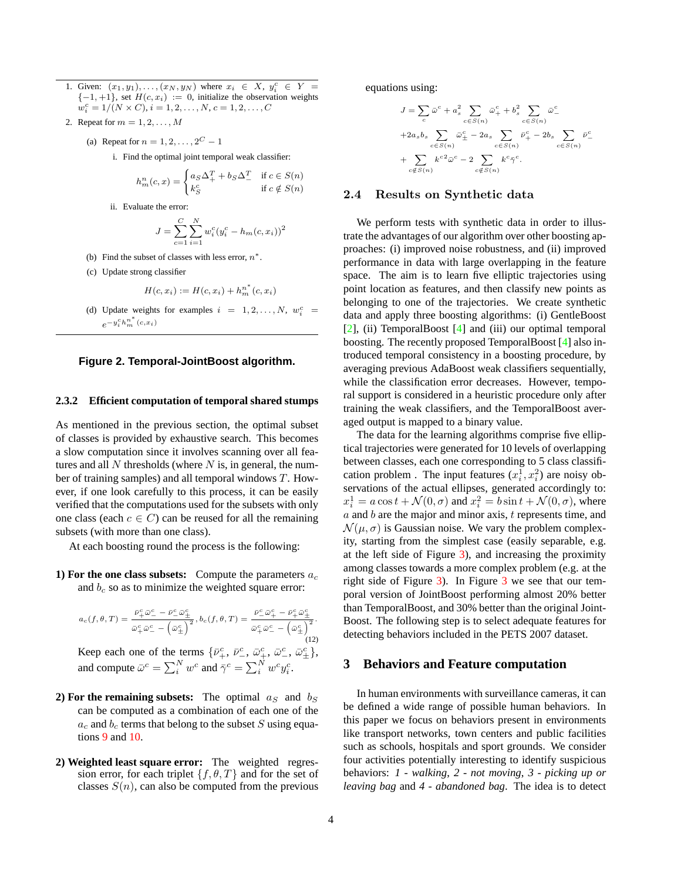- <span id="page-3-1"></span>1. Given:  $(x_1, y_1), \ldots, (x_N, y_N)$  where  $x_i \in X$ ,  $y_i^c \in Y =$  $\{-1,+1\}$ , set  $H(c, x_i) := 0$ , initialize the observation weights  $w_i^c = 1/(N \times C), i = 1, 2, \dots, N, c = 1, 2, \dots, C$
- 2. Repeat for  $m = 1, 2, \ldots, M$

(a) Repeat for 
$$
n = 1, 2, ..., 2^C - 1
$$

i. Find the optimal joint temporal weak classifier:

$$
h_m^n(c, x) = \begin{cases} a_S \Delta_+^T + b_S \Delta_-^T & \text{if } c \in S(n) \\ k_S^c & \text{if } c \notin S(n) \end{cases}
$$

ii. Evaluate the error:

$$
J = \sum_{c=1}^{C} \sum_{i=1}^{N} w_i^c (y_i^c - h_m(c, x_i))^2
$$

- (b) Find the subset of classes with less error,  $n^*$ .
- (c) Update strong classifier

$$
H(c, x_i) := H(c, x_i) + h_m^{n^*}(c, x_i)
$$

(d) Update weights for examples  $i = 1, 2, ..., N$ ,  $w_i^c =$  $e^{-y_i^c h_m^{n^*}(c,x_i)}$ 

<span id="page-3-0"></span>

#### **2.3.2 Efficient computation of temporal shared stumps**

As mentioned in the previous section, the optimal subset of classes is provided by exhaustive search. This becomes a slow computation since it involves scanning over all features and all  $N$  thresholds (where  $N$  is, in general, the number of training samples) and all temporal windows T. However, if one look carefully to this process, it can be easily verified that the computations used for the subsets with only one class (each  $c \in C$ ) can be reused for all the remaining subsets (with more than one class).

At each boosting round the process is the following:

**1) For the one class subsets:** Compute the parameters  $a_c$ and  $b_c$  so as to minimize the weighted square error:

$$
a_c(f, \theta, T) = \frac{\bar{\nu}_+^c \bar{\omega}_-^c - \bar{\nu}_-^c \bar{\omega}_+^c}{\bar{\omega}_+^c \bar{\omega}_-^c - (\bar{\omega}_+^c)^2}, b_c(f, \theta, T) = \frac{\bar{\nu}_-^c \bar{\omega}_+^c - \bar{\nu}_+^c \bar{\omega}_+^c}{\bar{\omega}_+^c \bar{\omega}_-^c - (\bar{\omega}_+^c)^2}.
$$
\n(12)

Keep each one of the terms  $\{\bar{\nu}_+^c, \bar{\nu}_-^c, \bar{\omega}_+^c, \bar{\omega}_-^c, \bar{\omega}_\pm^c\}$ , and compute  $\bar{\omega}^c = \sum_i^N w^c$  and  $\bar{\gamma}^c = \sum_i^N w^c y_i^c$ .

- **2) For the remaining subsets:** The optimal  $a_S$  and  $b_S$ can be computed as a combination of each one of the  $a_c$  and  $b_c$  terms that belong to the subset S using equations [9](#page-2-1) and [10.](#page-2-2)
- **2) Weighted least square error:** The weighted regression error, for each triplet  $\{f, \theta, T\}$  and for the set of classes  $S(n)$ , can also be computed from the previous

equations using:

$$
\begin{split} J&=\sum_c\bar{\omega}^c+a_s^2\sum_{c\in S(n)}\bar{\omega}_+^c+b_s^2\sum_{c\in S(n)}\bar{\omega}_-^c\\ +2a_sb_s\sum_{c\in S(n)}\bar{\omega}_\pm^c-2a_s\sum_{c\in S(n)}\bar{\nu}_+^c-2b_s\sum_{c\in S(n)}\bar{\nu}_-^c\\ &+\sum_{c\notin S(n)}k^{c2}\bar{\omega}^c-2\sum_{c\notin S(n)}k^c\bar{\gamma}^c. \end{split}
$$

#### 2.4 Results on Synthetic data

We perform tests with synthetic data in order to illustrate the advantages of our algorithm over other boosting approaches: (i) improved noise robustness, and (ii) improved performance in data with large overlapping in the feature space. The aim is to learn five elliptic trajectories using point location as features, and then classify new points as belonging to one of the trajectories. We create synthetic data and apply three boosting algorithms: (i) GentleBoost [\[2\]](#page-5-2), (ii) TemporalBoost [\[4\]](#page-5-3) and (iii) our optimal temporal boosting. The recently proposed TemporalBoost [\[4\]](#page-5-3) also introduced temporal consistency in a boosting procedure, by averaging previous AdaBoost weak classifiers sequentially, while the classification error decreases. However, temporal support is considered in a heuristic procedure only after training the weak classifiers, and the TemporalBoost averaged output is mapped to a binary value.

The data for the learning algorithms comprise five elliptical trajectories were generated for 10 levels of overlapping between classes, each one corresponding to 5 class classification problem. The input features  $(x_i^1, x_i^2)$  are noisy observations of the actual ellipses, generated accordingly to:  $x_i^1 = a \cos t + \mathcal{N}(0, \sigma)$  and  $x_i^2 = b \sin t + \mathcal{N}(0, \sigma)$ , where  $a$  and  $b$  are the major and minor axis,  $t$  represents time, and  $\mathcal{N}(\mu, \sigma)$  is Gaussian noise. We vary the problem complexity, starting from the simplest case (easily separable, e.g. at the left side of Figure [3\)](#page-4-0), and increasing the proximity among classes towards a more complex problem (e.g. at the right side of Figure [3\)](#page-4-0). In Figure [3](#page-4-0) we see that our temporal version of JointBoost performing almost 20% better than TemporalBoost, and 30% better than the original Joint-Boost. The following step is to select adequate features for detecting behaviors included in the PETS 2007 dataset.

# **3 Behaviors and Feature computation**

In human environments with surveillance cameras, it can be defined a wide range of possible human behaviors. In this paper we focus on behaviors present in environments like transport networks, town centers and public facilities such as schools, hospitals and sport grounds. We consider four activities potentially interesting to identify suspicious behaviors: *1 - walking*, *2 - not moving*, *3 - picking up or leaving bag* and *4 - abandoned bag*. The idea is to detect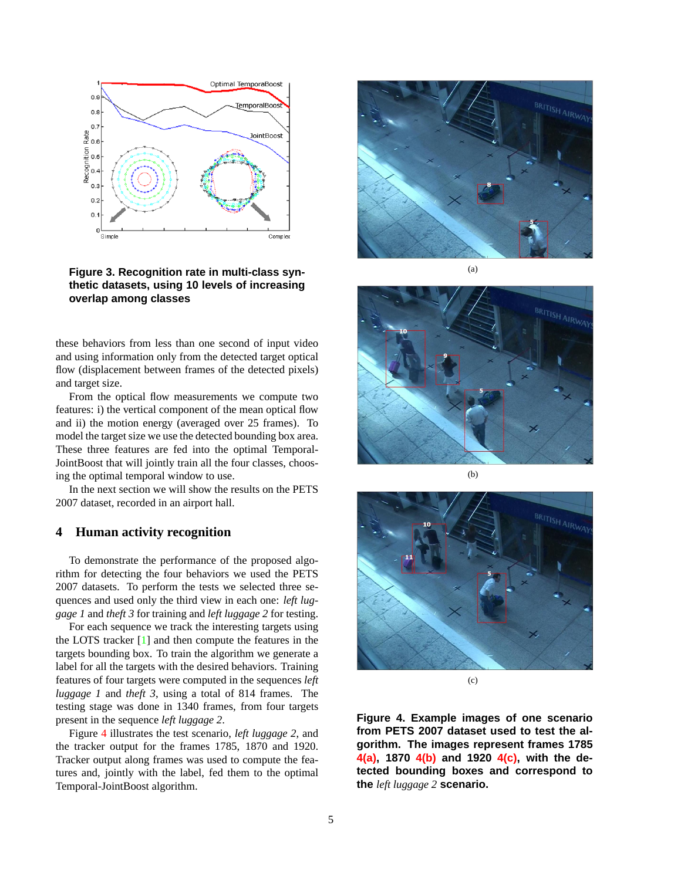<span id="page-4-5"></span>

<span id="page-4-0"></span>**Figure 3. Recognition rate in multi-class synthetic datasets, using 10 levels of increasing overlap among classes**

these behaviors from less than one second of input video and using information only from the detected target optical flow (displacement between frames of the detected pixels) and target size.

From the optical flow measurements we compute two features: i) the vertical component of the mean optical flow and ii) the motion energy (averaged over 25 frames). To model the target size we use the detected bounding box area. These three features are fed into the optimal Temporal-JointBoost that will jointly train all the four classes, choosing the optimal temporal window to use.

In the next section we will show the results on the PETS 2007 dataset, recorded in an airport hall.

# **4 Human activity recognition**

To demonstrate the performance of the proposed algorithm for detecting the four behaviors we used the PETS 2007 datasets. To perform the tests we selected three sequences and used only the third view in each one: *left luggage 1* and *theft 3* for training and *left luggage 2* for testing.

For each sequence we track the interesting targets using the LOTS tracker [\[1\]](#page-5-4) and then compute the features in the targets bounding box. To train the algorithm we generate a label for all the targets with the desired behaviors. Training features of four targets were computed in the sequences *left luggage 1* and *theft 3*, using a total of 814 frames. The testing stage was done in 1340 frames, from four targets present in the sequence *left luggage 2*.

Figure [4](#page-4-1) illustrates the test scenario, *left luggage 2*, and the tracker output for the frames 1785, 1870 and 1920. Tracker output along frames was used to compute the features and, jointly with the label, fed them to the optimal Temporal-JointBoost algorithm.

<span id="page-4-2"></span>

(a)



(b)

<span id="page-4-3"></span>

(c)

<span id="page-4-4"></span><span id="page-4-1"></span>**Figure 4. Example images of one scenario from PETS 2007 dataset used to test the algorithm. The images represent frames 1785 [4\(a\),](#page-4-2) 1870 [4\(b\)](#page-4-3) and 1920 [4\(c\),](#page-4-4) with the detected bounding boxes and correspond to the** *left luggage 2* **scenario.**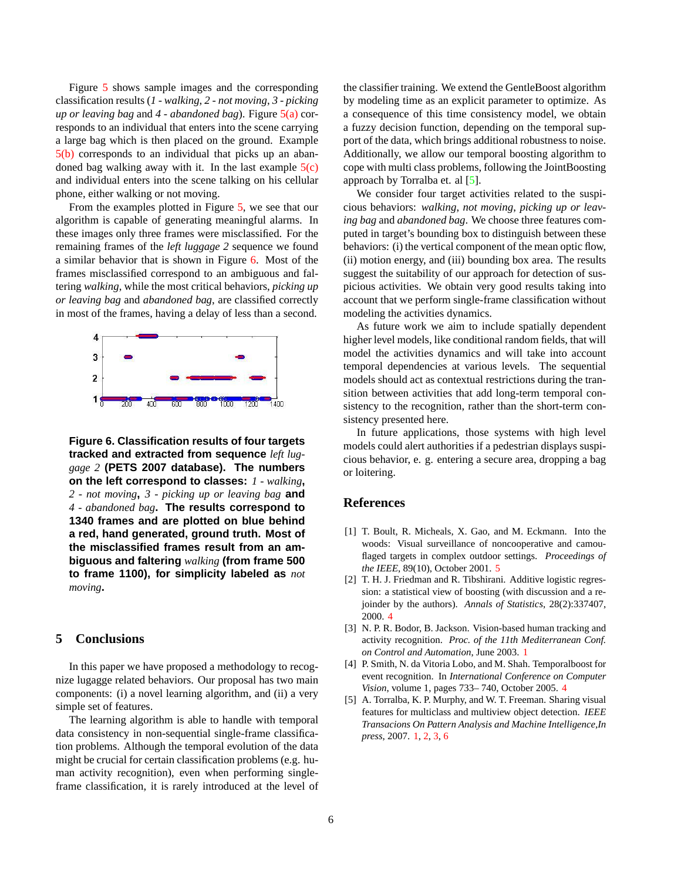<span id="page-5-6"></span>Figure [5](#page-6-0) shows sample images and the corresponding classification results (*1 - walking*, *2 - not moving*, *3 - picking up or leaving bag* and *4 - abandoned bag*). Figure [5\(a\)](#page-6-1) corresponds to an individual that enters into the scene carrying a large bag which is then placed on the ground. Example [5\(b\)](#page-6-2) corresponds to an individual that picks up an abandoned bag walking away with it. In the last example  $5(c)$ and individual enters into the scene talking on his cellular phone, either walking or not moving.

From the examples plotted in Figure [5,](#page-6-0) we see that our algorithm is capable of generating meaningful alarms. In these images only three frames were misclassified. For the remaining frames of the *left luggage 2* sequence we found a similar behavior that is shown in Figure [6.](#page-5-5) Most of the frames misclassified correspond to an ambiguous and faltering *walking*, while the most critical behaviors, *picking up or leaving bag* and *abandoned bag*, are classified correctly in most of the frames, having a delay of less than a second.



<span id="page-5-5"></span>**Figure 6. Classification results of four targets tracked and extracted from sequence** *left luggage 2* **(PETS 2007 database). The numbers on the left correspond to classes:** *1 - walking***,** *2 - not moving***,** *3 - picking up or leaving bag* **and** *4 - abandoned bag***. The results correspond to 1340 frames and are plotted on blue behind a red, hand generated, ground truth. Most of the misclassified frames result from an ambiguous and faltering** *walking* **(from frame 500 to frame 1100), for simplicity labeled as** *not moving***.**

# **5 Conclusions**

In this paper we have proposed a methodology to recognize lugagge related behaviors. Our proposal has two main components: (i) a novel learning algorithm, and (ii) a very simple set of features.

The learning algorithm is able to handle with temporal data consistency in non-sequential single-frame classification problems. Although the temporal evolution of the data might be crucial for certain classification problems (e.g. human activity recognition), even when performing singleframe classification, it is rarely introduced at the level of the classifier training. We extend the GentleBoost algorithm by modeling time as an explicit parameter to optimize. As a consequence of this time consistency model, we obtain a fuzzy decision function, depending on the temporal support of the data, which brings additional robustness to noise. Additionally, we allow our temporal boosting algorithm to cope with multi class problems, following the JointBoosting approach by Torralba et. al [\[5\]](#page-5-1).

We consider four target activities related to the suspicious behaviors: *walking*, *not moving*, *picking up or leaving bag* and *abandoned bag*. We choose three features computed in target's bounding box to distinguish between these behaviors: (i) the vertical component of the mean optic flow, (ii) motion energy, and (iii) bounding box area. The results suggest the suitability of our approach for detection of suspicious activities. We obtain very good results taking into account that we perform single-frame classification without modeling the activities dynamics.

As future work we aim to include spatially dependent higher level models, like conditional random fields, that will model the activities dynamics and will take into account temporal dependencies at various levels. The sequential models should act as contextual restrictions during the transition between activities that add long-term temporal consistency to the recognition, rather than the short-term consistency presented here.

In future applications, those systems with high level models could alert authorities if a pedestrian displays suspicious behavior, e. g. entering a secure area, dropping a bag or loitering.

# **References**

- <span id="page-5-4"></span>[1] T. Boult, R. Micheals, X. Gao, and M. Eckmann. Into the woods: Visual surveillance of noncooperative and camouflaged targets in complex outdoor settings. *Proceedings of the IEEE*, 89(10), October 2001. [5](#page-4-5)
- <span id="page-5-2"></span>[2] T. H. J. Friedman and R. Tibshirani. Additive logistic regression: a statistical view of boosting (with discussion and a rejoinder by the authors). *Annals of Statistics*, 28(2):337407, 2000. [4](#page-3-1)
- <span id="page-5-0"></span>[3] N. P. R. Bodor, B. Jackson. Vision-based human tracking and activity recognition. *Proc. of the 11th Mediterranean Conf. on Control and Automation*, June 2003. [1](#page-0-0)
- <span id="page-5-3"></span>[4] P. Smith, N. da Vitoria Lobo, and M. Shah. Temporalboost for event recognition. In *International Conference on Computer Vision*, volume 1, pages 733– 740, October 2005. [4](#page-3-1)
- <span id="page-5-1"></span>[5] A. Torralba, K. P. Murphy, and W. T. Freeman. Sharing visual features for multiclass and multiview object detection. *IEEE Transacions On Pattern Analysis and Machine Intelligence,In press*, 2007. [1,](#page-0-0) [2,](#page-1-5) [3,](#page-2-3) [6](#page-5-6)